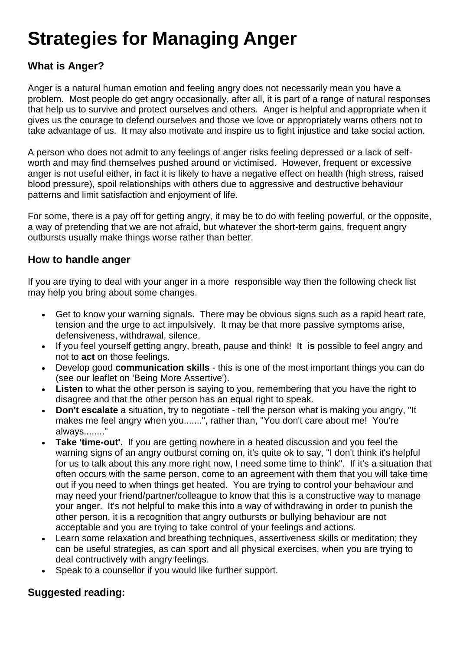## **Strategies for Managing Anger**

## **What is Anger?**

Anger is a natural human emotion and feeling angry does not necessarily mean you have a problem. Most people do get angry occasionally, after all, it is part of a range of natural responses that help us to survive and protect ourselves and others. Anger is helpful and appropriate when it gives us the courage to defend ourselves and those we love or appropriately warns others not to take advantage of us. It may also motivate and inspire us to fight injustice and take social action.

A person who does not admit to any feelings of anger risks feeling depressed or a lack of selfworth and may find themselves pushed around or victimised. However, frequent or excessive anger is not useful either, in fact it is likely to have a negative effect on health (high stress, raised blood pressure), spoil relationships with others due to aggressive and destructive behaviour patterns and limit satisfaction and enjoyment of life.

For some, there is a pay off for getting angry, it may be to do with feeling powerful, or the opposite, a way of pretending that we are not afraid, but whatever the short-term gains, frequent angry outbursts usually make things worse rather than better.

## **How to handle anger**

If you are trying to deal with your anger in a more responsible way then the following check list may help you bring about some changes.

- Get to know your warning signals. There may be obvious signs such as a rapid heart rate, tension and the urge to act impulsively. It may be that more passive symptoms arise, defensiveness, withdrawal, silence.
- If you feel yourself getting angry, breath, pause and think! It **is** possible to feel angry and not to **act** on those feelings.
- Develop good **communication skills**  this is one of the most important things you can do (see our leaflet on 'Being More Assertive').
- **Listen** to what the other person is saying to you, remembering that you have the right to disagree and that the other person has an equal right to speak.
- **Don't escalate** a situation, try to negotiate tell the person what is making you angry, "It makes me feel angry when you.......", rather than, "You don't care about me! You're always........"
- **Take 'time-out'.** If you are getting nowhere in a heated discussion and you feel the warning signs of an angry outburst coming on, it's quite ok to say. "I don't think it's helpful for us to talk about this any more right now, I need some time to think". If it's a situation that often occurs with the same person, come to an agreement with them that you will take time out if you need to when things get heated. You are trying to control your behaviour and may need your friend/partner/colleague to know that this is a constructive way to manage your anger. It's not helpful to make this into a way of withdrawing in order to punish the other person, it is a recognition that angry outbursts or bullying behaviour are not acceptable and you are trying to take control of your feelings and actions.
- Learn some relaxation and breathing techniques, assertiveness skills or meditation; they can be useful strategies, as can sport and all physical exercises, when you are trying to deal contructively with angry feelings.
- Speak to a counsellor if you would like further support.

## **Suggested reading:**